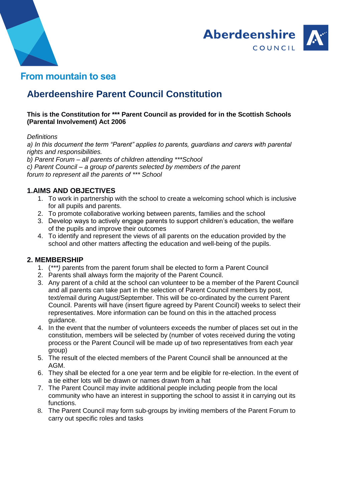



# **Aberdeenshire Parent Council Constitution**

#### **This is the Constitution for \*\*\* Parent Council as provided for in the Scottish Schools (Parental Involvement) Act 2006**

#### *Definitions*

*a) In this document the term "Parent" applies to parents, guardians and carers with parental rights and responsibilities.*

*b) Parent Forum – all parents of children attending \*\*\*School c) Parent Council – a group of parents selected by members of the parent forum to represent all the parents of \*\*\* School*

### **1.AIMS AND OBJECTIVES**

- 1. To work in partnership with the school to create a welcoming school which is inclusive for all pupils and parents.
- 2. To promote collaborative working between parents, families and the school
- 3. Develop ways to actively engage parents to support children's education, the welfare of the pupils and improve their outcomes
- 4. To identify and represent the views of all parents on the education provided by the school and other matters affecting the education and well-being of the pupils.

#### **2. MEMBERSHIP**

- 1. (*\*\*\*)* parents from the parent forum shall be elected to form a Parent Council
- 2. Parents shall always form the majority of the Parent Council.
- 3. Any parent of a child at the school can volunteer to be a member of the Parent Council and all parents can take part in the selection of Parent Council members by post, text/email during August/September. This will be co-ordinated by the current Parent Council. Parents will have (insert figure agreed by Parent Council) weeks to select their representatives. More information can be found on this in the attached process guidance.
- 4. In the event that the number of volunteers exceeds the number of places set out in the constitution, members will be selected by (number of votes received during the voting process or the Parent Council will be made up of two representatives from each year group)
- 5. The result of the elected members of the Parent Council shall be announced at the AGM.
- 6. They shall be elected for a one year term and be eligible for re-election. In the event of a tie either lots will be drawn or names drawn from a hat
- 7. The Parent Council may invite additional people including people from the local community who have an interest in supporting the school to assist it in carrying out its functions.
- 8. The Parent Council may form sub-groups by inviting members of the Parent Forum to carry out specific roles and tasks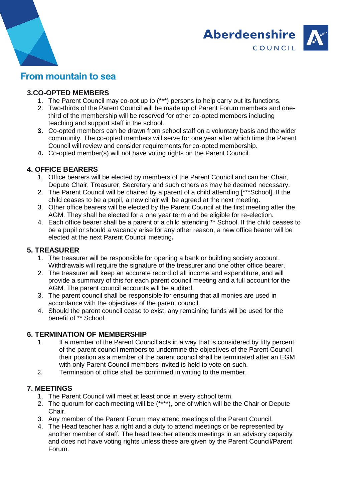



## **3.CO-OPTED MEMBERS**

- 1. The Parent Council may co-opt up to (\*\*\*) persons to help carry out its functions.
- 2. Two-thirds of the Parent Council will be made up of Parent Forum members and onethird of the membership will be reserved for other co-opted members including teaching and support staff in the school.
- **3.** Co-opted members can be drawn from school staff on a voluntary basis and the wider community. The co-opted members will serve for one year after which time the Parent Council will review and consider requirements for co-opted membership.
- **4.** Co-opted member(s) will not have voting rights on the Parent Council.

## **4. OFFICE BEARERS**

- 1. Office bearers will be elected by members of the Parent Council and can be: Chair, Depute Chair, Treasurer, Secretary and such others as may be deemed necessary.
- 2. The Parent Council will be chaired by a parent of a child attending [\*\*\*School]. If the child ceases to be a pupil, a new chair will be agreed at the next meeting.
- 3. Other office bearers will be elected by the Parent Council at the first meeting after the AGM. They shall be elected for a one year term and be eligible for re-election.
- 4. Each office bearer shall be a parent of a child attending \*\* School. If the child ceases to be a pupil or should a vacancy arise for any other reason, a new office bearer will be elected at the next Parent Council meeting**.**

### **5. TREASURER**

- 1. The treasurer will be responsible for opening a bank or building society account. Withdrawals will require the signature of the treasurer and one other office bearer.
- 2. The treasurer will keep an accurate record of all income and expenditure, and will provide a summary of this for each parent council meeting and a full account for the AGM. The parent council accounts will be audited.
- 3. The parent council shall be responsible for ensuring that all monies are used in accordance with the objectives of the parent council.
- 4. Should the parent council cease to exist, any remaining funds will be used for the benefit of \*\* School.

#### **6. TERMINATION OF MEMBERSHIP**

- 1. If a member of the Parent Council acts in a way that is considered by fifty percent of the parent council members to undermine the objectives of the Parent Council their position as a member of the parent council shall be terminated after an EGM with only Parent Council members invited is held to vote on such.
- 2. Termination of office shall be confirmed in writing to the member.

#### **7. MEETINGS**

- 1. The Parent Council will meet at least once in every school term.
- 2. The quorum for each meeting will be (\*\*\*\*), one of which will be the Chair or Depute Chair.
- 3. Any member of the Parent Forum may attend meetings of the Parent Council.
- 4. The Head teacher has a right and a duty to attend meetings or be represented by another member of staff*.* The head teacher attends meetings in an advisory capacity and does not have voting rights unless these are given by the Parent Council/Parent Forum.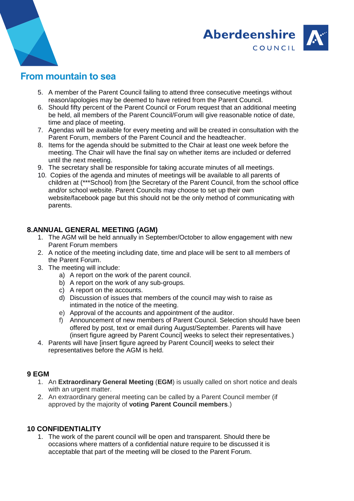



- 5. A member of the Parent Council failing to attend three consecutive meetings without reason/apologies may be deemed to have retired from the Parent Council.
- 6. Should fifty percent of the Parent Council or Forum request that an additional meeting be held, all members of the Parent Council/Forum will give reasonable notice of date, time and place of meeting.
- 7. Agendas will be available for every meeting and will be created in consultation with the Parent Forum, members of the Parent Council and the headteacher.
- 8. Items for the agenda should be submitted to the Chair at least one week before the meeting. The Chair will have the final say on whether items are included or deferred until the next meeting.
- 9. The secretary shall be responsible for taking accurate minutes of all meetings.
- 10. Copies of the agenda and minutes of meetings will be available to all parents of children at (\*\*\*School) from [the Secretary of the Parent Council, from the school office and/or school website. Parent Councils may choose to set up their own website/facebook page but this should not be the only method of communicating with parents.

## **8.ANNUAL GENERAL MEETING (AGM)**

- 1. The AGM will be held annually in September/October to allow engagement with new Parent Forum members
- 2. A notice of the meeting including date, time and place will be sent to all members of the Parent Forum.
- 3. The meeting will include:
	- a) A report on the work of the parent council.
	- b) A report on the work of any sub-groups.
	- c) A report on the accounts.
	- d) Discussion of issues that members of the council may wish to raise as intimated in the notice of the meeting.
	- e) Approval of the accounts and appointment of the auditor.
	- f) Announcement of new members of Parent Council. Selection should have been offered by post, text or email during August/September. Parents will have (insert figure agreed by Parent Counci] weeks to select their representatives.)
- 4. Parents will have [insert figure agreed by Parent Council] weeks to select their representatives before the AGM is held.

#### **9 EGM**

- 1. An **Extraordinary General Meeting** (**EGM**) is usually called on short notice and deals with an urgent matter.
- 2. An extraordinary general meeting can be called by a Parent Council member (if approved by the majority of **voting Parent Council members**.)

#### **10 CONFIDENTIALITY**

1. The work of the parent council will be open and transparent. Should there be occasions where matters of a confidential nature require to be discussed it is acceptable that part of the meeting will be closed to the Parent Forum.